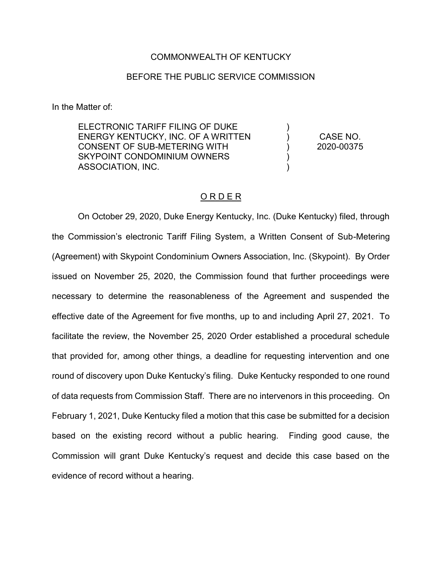### COMMONWEALTH OF KENTUCKY

## BEFORE THE PUBLIC SERVICE COMMISSION

In the Matter of:

ELECTRONIC TARIFF FILING OF DUKE ENERGY KENTUCKY, INC. OF A WRITTEN CONSENT OF SUB-METERING WITH SKYPOINT CONDOMINIUM OWNERS ASSOCIATION, INC.

CASE NO. 2020-00375

)  $\lambda$  $\lambda$ ) )

## O R D E R

On October 29, 2020, Duke Energy Kentucky, Inc. (Duke Kentucky) filed, through the Commission's electronic Tariff Filing System, a Written Consent of Sub-Metering (Agreement) with Skypoint Condominium Owners Association, Inc. (Skypoint). By Order issued on November 25, 2020, the Commission found that further proceedings were necessary to determine the reasonableness of the Agreement and suspended the effective date of the Agreement for five months, up to and including April 27, 2021. To facilitate the review, the November 25, 2020 Order established a procedural schedule that provided for, among other things, a deadline for requesting intervention and one round of discovery upon Duke Kentucky's filing. Duke Kentucky responded to one round of data requests from Commission Staff. There are no intervenors in this proceeding. On February 1, 2021, Duke Kentucky filed a motion that this case be submitted for a decision based on the existing record without a public hearing. Finding good cause, the Commission will grant Duke Kentucky's request and decide this case based on the evidence of record without a hearing.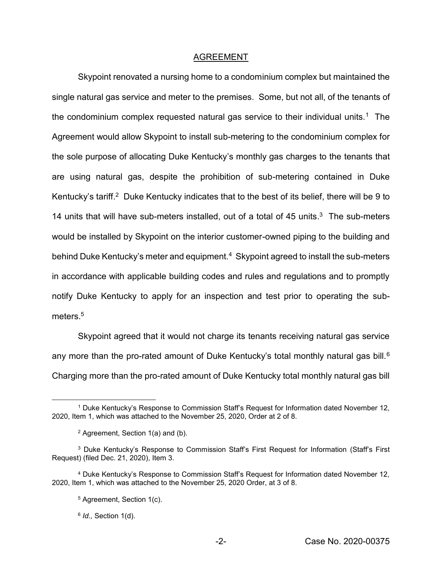### AGREEMENT

Skypoint renovated a nursing home to a condominium complex but maintained the single natural gas service and meter to the premises. Some, but not all, of the tenants of the condominium complex requested natural gas service to their individual units.<sup>1</sup> The Agreement would allow Skypoint to install sub-metering to the condominium complex for the sole purpose of allocating Duke Kentucky's monthly gas charges to the tenants that are using natural gas, despite the prohibition of sub-metering contained in Duke Kentucky's tariff.<sup>2</sup> Duke Kentucky indicates that to the best of its belief, there will be 9 to 14 units that will have sub-meters installed, out of a total of 45 units. 3 The sub-meters would be installed by Skypoint on the interior customer-owned piping to the building and behind Duke Kentucky's meter and equipment.<sup>4</sup> Skypoint agreed to install the sub-meters in accordance with applicable building codes and rules and regulations and to promptly notify Duke Kentucky to apply for an inspection and test prior to operating the submeters<sup>5</sup>

Skypoint agreed that it would not charge its tenants receiving natural gas service any more than the pro-rated amount of Duke Kentucky's total monthly natural gas bill.<sup>6</sup> Charging more than the pro-rated amount of Duke Kentucky total monthly natural gas bill

 $\overline{a}$ 

<sup>1</sup> Duke Kentucky's Response to Commission Staff's Request for Information dated November 12, 2020, Item 1, which was attached to the November 25, 2020, Order at 2 of 8.

<sup>2</sup> Agreement, Section 1(a) and (b).

<sup>3</sup> Duke Kentucky's Response to Commission Staff's First Request for Information (Staff's First Request) (filed Dec. 21, 2020), Item 3.

<sup>4</sup> Duke Kentucky's Response to Commission Staff's Request for Information dated November 12, 2020, Item 1, which was attached to the November 25, 2020 Order, at 3 of 8.

<sup>5</sup> Agreement, Section 1(c).

<sup>6</sup> *Id.,* Section 1(d).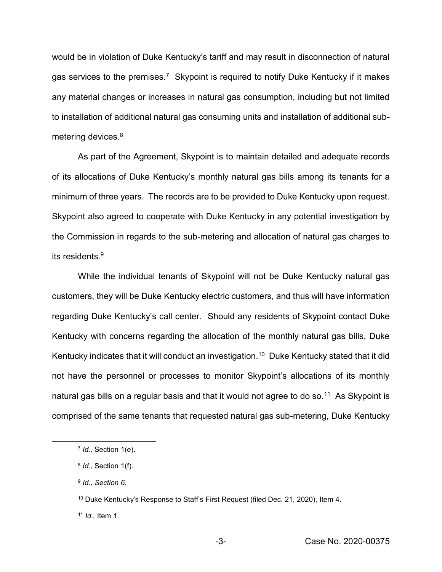would be in violation of Duke Kentucky's tariff and may result in disconnection of natural gas services to the premises.<sup>7</sup> Skypoint is required to notify Duke Kentucky if it makes any material changes or increases in natural gas consumption, including but not limited to installation of additional natural gas consuming units and installation of additional submetering devices.<sup>8</sup>

As part of the Agreement, Skypoint is to maintain detailed and adequate records of its allocations of Duke Kentucky's monthly natural gas bills among its tenants for a minimum of three years. The records are to be provided to Duke Kentucky upon request. Skypoint also agreed to cooperate with Duke Kentucky in any potential investigation by the Commission in regards to the sub-metering and allocation of natural gas charges to its residents.<sup>9</sup>

While the individual tenants of Skypoint will not be Duke Kentucky natural gas customers, they will be Duke Kentucky electric customers, and thus will have information regarding Duke Kentucky's call center. Should any residents of Skypoint contact Duke Kentucky with concerns regarding the allocation of the monthly natural gas bills, Duke Kentucky indicates that it will conduct an investigation.<sup>10</sup> Duke Kentucky stated that it did not have the personnel or processes to monitor Skypoint's allocations of its monthly natural gas bills on a regular basis and that it would not agree to do so.<sup>11</sup> As Skypoint is comprised of the same tenants that requested natural gas sub-metering, Duke Kentucky

 $\overline{\phantom{a}}$ 

<sup>7</sup> *Id.,* Section 1(e).

<sup>8</sup> *Id.,* Section 1(f).

<sup>9</sup> *Id., Section 6.*

<sup>&</sup>lt;sup>10</sup> Duke Kentucky's Response to Staff's First Request (filed Dec. 21, 2020), Item 4.

<sup>11</sup> *Id.,* Item 1.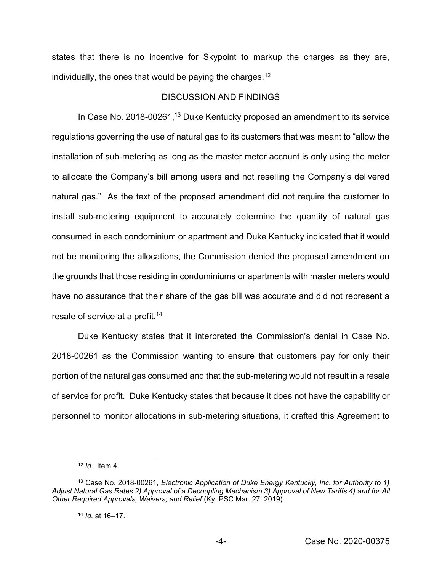states that there is no incentive for Skypoint to markup the charges as they are, individually, the ones that would be paying the charges.<sup>12</sup>

#### DISCUSSION AND FINDINGS

In Case No. 2018-00261,<sup>13</sup> Duke Kentucky proposed an amendment to its service regulations governing the use of natural gas to its customers that was meant to "allow the installation of sub-metering as long as the master meter account is only using the meter to allocate the Company's bill among users and not reselling the Company's delivered natural gas." As the text of the proposed amendment did not require the customer to install sub-metering equipment to accurately determine the quantity of natural gas consumed in each condominium or apartment and Duke Kentucky indicated that it would not be monitoring the allocations, the Commission denied the proposed amendment on the grounds that those residing in condominiums or apartments with master meters would have no assurance that their share of the gas bill was accurate and did not represent a resale of service at a profit.<sup>14</sup>

Duke Kentucky states that it interpreted the Commission's denial in Case No. 2018-00261 as the Commission wanting to ensure that customers pay for only their portion of the natural gas consumed and that the sub-metering would not result in a resale of service for profit. Duke Kentucky states that because it does not have the capability or personnel to monitor allocations in sub-metering situations, it crafted this Agreement to

 $\overline{\phantom{a}}$ 

<sup>12</sup> *Id.,* Item 4.

<sup>13</sup> Case No. 2018-00261, *Electronic Application of Duke Energy Kentucky, Inc. for Authority to 1) Adjust Natural Gas Rates 2) Approval of a Decoupling Mechanism 3) Approval of New Tariffs 4) and for All Other Required Approvals, Waivers, and Relief* (Ky. PSC Mar. 27, 2019).

<sup>14</sup> *Id.* at 16–17.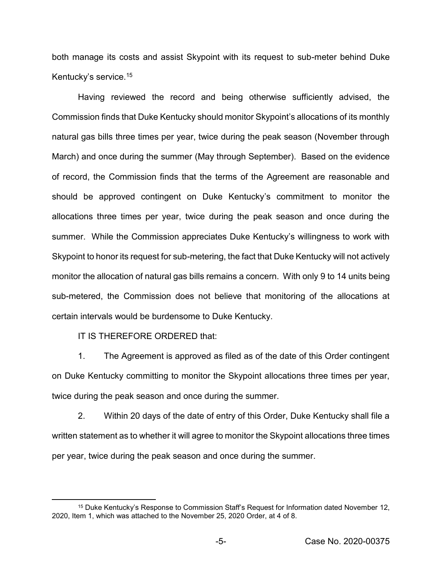both manage its costs and assist Skypoint with its request to sub-meter behind Duke Kentucky's service.<sup>15</sup>

Having reviewed the record and being otherwise sufficiently advised, the Commission finds that Duke Kentucky should monitor Skypoint's allocations of its monthly natural gas bills three times per year, twice during the peak season (November through March) and once during the summer (May through September). Based on the evidence of record, the Commission finds that the terms of the Agreement are reasonable and should be approved contingent on Duke Kentucky's commitment to monitor the allocations three times per year, twice during the peak season and once during the summer. While the Commission appreciates Duke Kentucky's willingness to work with Skypoint to honor its request for sub-metering, the fact that Duke Kentucky will not actively monitor the allocation of natural gas bills remains a concern. With only 9 to 14 units being sub-metered, the Commission does not believe that monitoring of the allocations at certain intervals would be burdensome to Duke Kentucky.

IT IS THEREFORE ORDERED that:

 $\overline{a}$ 

1. The Agreement is approved as filed as of the date of this Order contingent on Duke Kentucky committing to monitor the Skypoint allocations three times per year, twice during the peak season and once during the summer.

2. Within 20 days of the date of entry of this Order, Duke Kentucky shall file a written statement as to whether it will agree to monitor the Skypoint allocations three times per year, twice during the peak season and once during the summer.

<sup>&</sup>lt;sup>15</sup> Duke Kentucky's Response to Commission Staff's Request for Information dated November 12, 2020, Item 1, which was attached to the November 25, 2020 Order, at 4 of 8.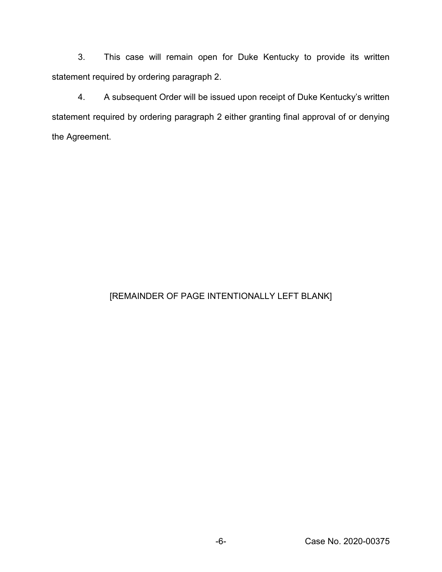3. This case will remain open for Duke Kentucky to provide its written statement required by ordering paragraph 2.

4. A subsequent Order will be issued upon receipt of Duke Kentucky's written statement required by ordering paragraph 2 either granting final approval of or denying the Agreement.

# [REMAINDER OF PAGE INTENTIONALLY LEFT BLANK]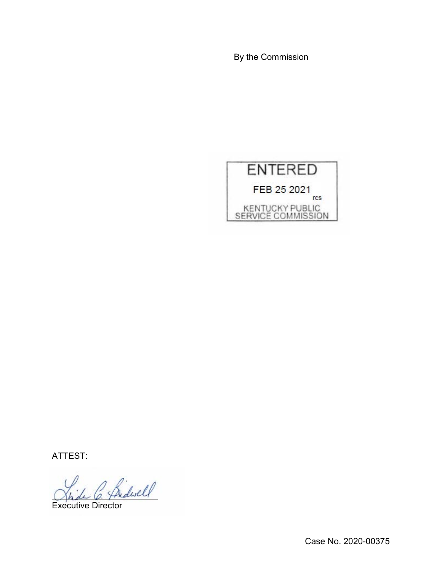By the Commission



ATTEST:

 $^{\prime}$  fridwell

Executive Director

Case No. 2020-00375